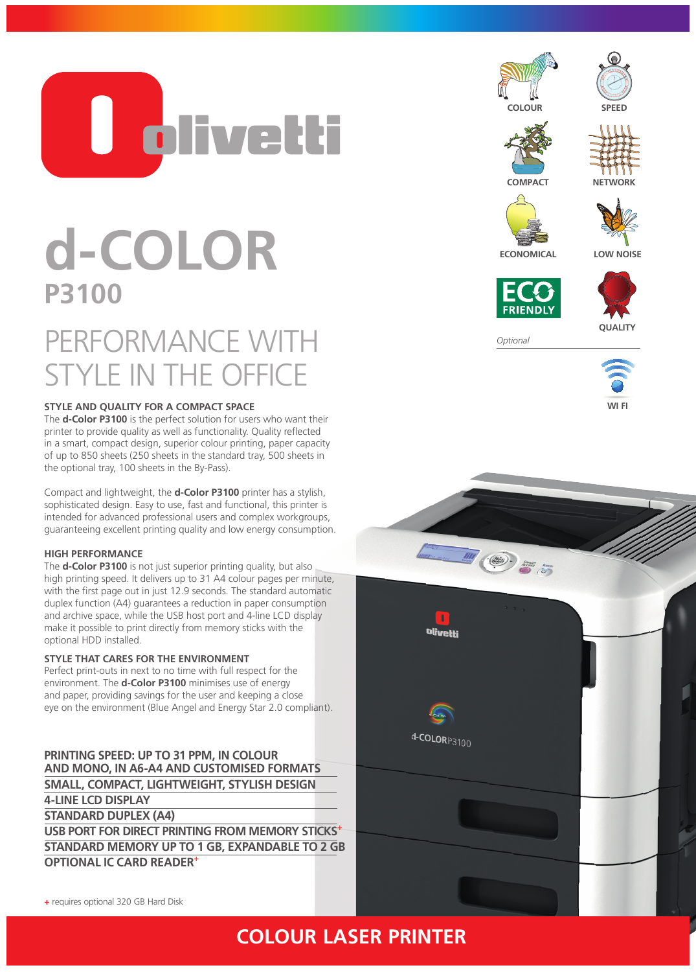

# **d-COLOR P3100**

## PERFORMANCE WITH STYLE IN THE OFFICE

#### **STYLE AND QUALITY FOR A COMPACT SPACE**

The **d-Color P3100** is the perfect solution for users who want their printer to provide quality as well as functionality. Quality reflected in a smart, compact design, superior colour printing, paper capacity of up to 850 sheets (250 sheets in the standard tray, 500 sheets in the optional tray, 100 sheets in the By-Pass).

Compact and lightweight, the **d-Color P3100** printer has a stylish, sophisticated design. Easy to use, fast and functional, this printer is intended for advanced professional users and complex workgroups, guaranteeing excellent printing quality and low energy consumption.

#### **HIGH PERFORMANCE**

The **d-Color P3100** is not just superior printing quality, but also high printing speed. It delivers up to 31 A4 colour pages per minute, with the first page out in just 12.9 seconds. The standard automatic duplex function (A4) guarantees a reduction in paper consumption and archive space, while the USB host port and 4-line LCD display make it possible to print directly from memory sticks with the optional HDD installed.

#### **STYLE THAT CARES FOR THE ENVIRONMENT**

Perfect print-outs in next to no time with full respect for the environment. The **d-Color P3100** minimises use of energy and paper, providing savings for the user and keeping a close eye on the environment (Blue Angel and Energy Star 2.0 compliant).

**PRINTING SPEED: UP TO 31 PPM, IN COLOUR AND MONO, IN A6-A4 AND CUSTOMISED FORMATS SMALL, COMPACT, LIGHTWEIGHT, STYLISH DESIGN 4-LINE LCD DISPLAY STANDARD DUPLEX (A4) USB PORT FOR DIRECT PRINTING FROM MEMORY STICKS+ STANDARD MEMORY UP TO 1 GB, EXPANDABLE TO 2 GB OPTIONAL IC CARD READER+**













**ECONOMICAL LOW NOISE**





*Optional*





**+** requires optional 320 GB Hard Disk

### **COLOUR LASER PRINTER**